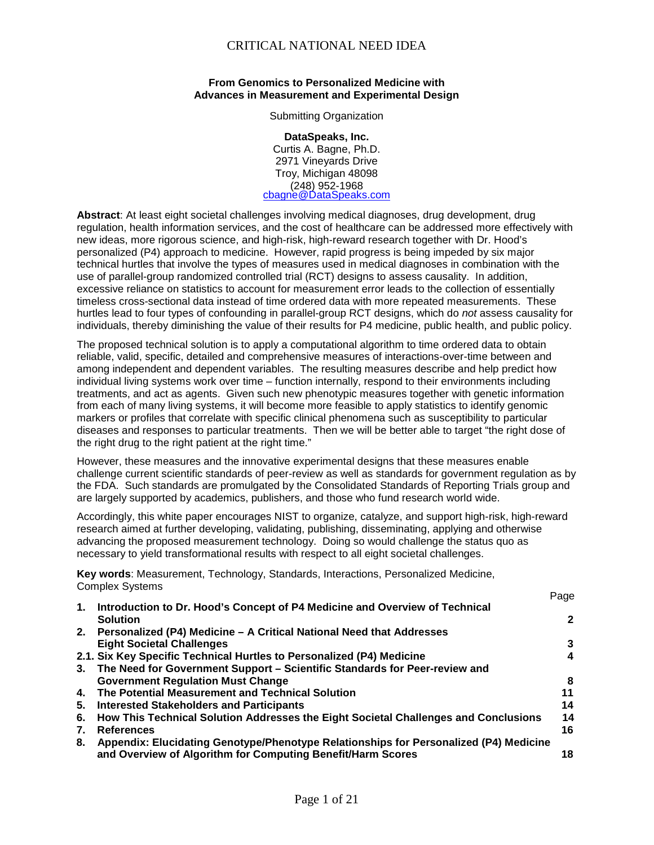#### **From Genomics to Personalized Medicine with Advances in Measurement and Experimental Design**

Submitting Organization

**DataSpeaks, Inc.** Curtis A. Bagne, Ph.D. 2971 Vineyards Drive Troy, Michigan 48098 (248) 952-1968 <u>[cbagne@DataSpeaks.com](mailto:cbagne@DataSpeaks.com)</u>

**Abstract**: At least eight societal challenges involving medical diagnoses, drug development, drug regulation, health information services, and the cost of healthcare can be addressed more effectively with new ideas, more rigorous science, and high-risk, high-reward research together with Dr. Hood's personalized (P4) approach to medicine. However, rapid progress is being impeded by six major technical hurtles that involve the types of measures used in medical diagnoses in combination with the use of parallel-group randomized controlled trial (RCT) designs to assess causality. In addition, excessive reliance on statistics to account for measurement error leads to the collection of essentially timeless cross-sectional data instead of time ordered data with more repeated measurements. These hurtles lead to four types of confounding in parallel-group RCT designs, which do *not* assess causality for individuals, thereby diminishing the value of their results for P4 medicine, public health, and public policy.

The proposed technical solution is to apply a computational algorithm to time ordered data to obtain reliable, valid, specific, detailed and comprehensive measures of interactions-over-time between and among independent and dependent variables. The resulting measures describe and help predict how individual living systems work over time – function internally, respond to their environments including treatments, and act as agents. Given such new phenotypic measures together with genetic information from each of many living systems, it will become more feasible to apply statistics to identify genomic markers or profiles that correlate with specific clinical phenomena such as susceptibility to particular diseases and responses to particular treatments. Then we will be better able to target "the right dose of the right drug to the right patient at the right time."

However, these measures and the innovative experimental designs that these measures enable challenge current scientific standards of peer-review as well as standards for government regulation as by the FDA. Such standards are promulgated by the Consolidated Standards of Reporting Trials group and are largely supported by academics, publishers, and those who fund research world wide.

Accordingly, this white paper encourages NIST to organize, catalyze, and support high-risk, high-reward research aimed at further developing, validating, publishing, disseminating, applying and otherwise advancing the proposed measurement technology. Doing so would challenge the status quo as necessary to yield transformational results with respect to all eight societal challenges.

**Key words**: Measurement, Technology, Standards, Interactions, Personalized Medicine, Complex Systems Page

| 1. | Introduction to Dr. Hood's Concept of P4 Medicine and Overview of Technical            | , uyu        |
|----|----------------------------------------------------------------------------------------|--------------|
|    | <b>Solution</b>                                                                        | $\mathbf{2}$ |
|    | 2. Personalized (P4) Medicine - A Critical National Need that Addresses                |              |
|    | <b>Eight Societal Challenges</b>                                                       | 3            |
|    | 2.1. Six Key Specific Technical Hurtles to Personalized (P4) Medicine                  | 4            |
|    | 3. The Need for Government Support - Scientific Standards for Peer-review and          |              |
|    | <b>Government Regulation Must Change</b>                                               | 8            |
|    | 4. The Potential Measurement and Technical Solution                                    | 11           |
|    | 5. Interested Stakeholders and Participants                                            | 14           |
|    | 6. How This Technical Solution Addresses the Eight Societal Challenges and Conclusions | 14           |
| 7. | <b>References</b>                                                                      | 16           |
| 8. | Appendix: Elucidating Genotype/Phenotype Relationships for Personalized (P4) Medicine  |              |
|    | and Overview of Algorithm for Computing Benefit/Harm Scores                            | 18           |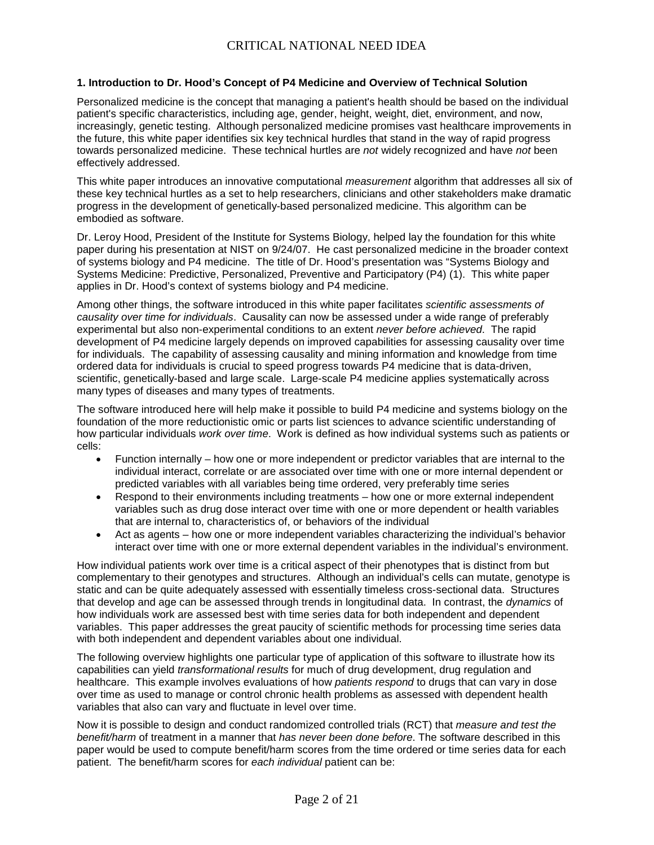#### **1. Introduction to Dr. Hood's Concept of P4 Medicine and Overview of Technical Solution**

Personalized medicine is the concept that managing a patient's health should be based on the individual patient's specific characteristics, including age, gender, height, weight, diet, environment, and now, increasingly, genetic testing. Although personalized medicine promises vast healthcare improvements in the future, this white paper identifies six key technical hurdles that stand in the way of rapid progress towards personalized medicine. These technical hurtles are *not* widely recognized and have *not* been effectively addressed.

This white paper introduces an innovative computational *measurement* algorithm that addresses all six of these key technical hurtles as a set to help researchers, clinicians and other stakeholders make dramatic progress in the development of genetically-based personalized medicine. This algorithm can be embodied as software.

Dr. Leroy Hood, President of the Institute for Systems Biology, helped lay the foundation for this white paper during his presentation at NIST on 9/24/07. He cast personalized medicine in the broader context of systems biology and P4 medicine. The title of Dr. Hood's presentation was "Systems Biology and Systems Medicine: Predictive, Personalized, Preventive and Participatory (P4) (1). This white paper applies in Dr. Hood's context of systems biology and P4 medicine.

Among other things, the software introduced in this white paper facilitates *scientific assessments of causality over time for individuals*. Causality can now be assessed under a wide range of preferably experimental but also non-experimental conditions to an extent *never before achieved*. The rapid development of P4 medicine largely depends on improved capabilities for assessing causality over time for individuals. The capability of assessing causality and mining information and knowledge from time ordered data for individuals is crucial to speed progress towards P4 medicine that is data-driven, scientific, genetically-based and large scale. Large-scale P4 medicine applies systematically across many types of diseases and many types of treatments.

The software introduced here will help make it possible to build P4 medicine and systems biology on the foundation of the more reductionistic omic or parts list sciences to advance scientific understanding of how particular individuals *work over time*. Work is defined as how individual systems such as patients or cells:

- Function internally how one or more independent or predictor variables that are internal to the individual interact, correlate or are associated over time with one or more internal dependent or predicted variables with all variables being time ordered, very preferably time series
- Respond to their environments including treatments how one or more external independent variables such as drug dose interact over time with one or more dependent or health variables that are internal to, characteristics of, or behaviors of the individual
- Act as agents how one or more independent variables characterizing the individual's behavior interact over time with one or more external dependent variables in the individual's environment.

How individual patients work over time is a critical aspect of their phenotypes that is distinct from but complementary to their genotypes and structures. Although an individual's cells can mutate, genotype is static and can be quite adequately assessed with essentially timeless cross-sectional data. Structures that develop and age can be assessed through trends in longitudinal data. In contrast, the *dynamics* of how individuals work are assessed best with time series data for both independent and dependent variables. This paper addresses the great paucity of scientific methods for processing time series data with both independent and dependent variables about one individual.

The following overview highlights one particular type of application of this software to illustrate how its capabilities can yield *transformational results* for much of drug development, drug regulation and healthcare. This example involves evaluations of how *patients respond* to drugs that can vary in dose over time as used to manage or control chronic health problems as assessed with dependent health variables that also can vary and fluctuate in level over time.

Now it is possible to design and conduct randomized controlled trials (RCT) that *measure and test the benefit/harm* of treatment in a manner that *has never been done before*. The software described in this paper would be used to compute benefit/harm scores from the time ordered or time series data for each patient. The benefit/harm scores for *each individual* patient can be: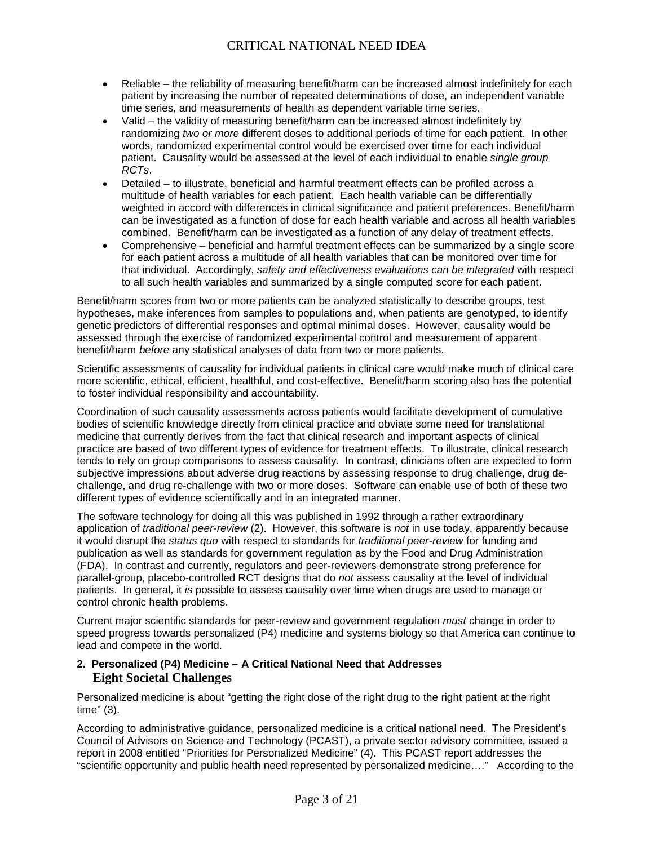- Reliable the reliability of measuring benefit/harm can be increased almost indefinitely for each patient by increasing the number of repeated determinations of dose, an independent variable time series, and measurements of health as dependent variable time series.
- Valid the validity of measuring benefit/harm can be increased almost indefinitely by randomizing *two or more* different doses to additional periods of time for each patient. In other words, randomized experimental control would be exercised over time for each individual patient. Causality would be assessed at the level of each individual to enable *single group RCTs*.
- Detailed to illustrate, beneficial and harmful treatment effects can be profiled across a multitude of health variables for each patient. Each health variable can be differentially weighted in accord with differences in clinical significance and patient preferences. Benefit/harm can be investigated as a function of dose for each health variable and across all health variables combined. Benefit/harm can be investigated as a function of any delay of treatment effects.
- Comprehensive beneficial and harmful treatment effects can be summarized by a single score for each patient across a multitude of all health variables that can be monitored over time for that individual. Accordingly, *safety and effectiveness evaluations can be integrated* with respect to all such health variables and summarized by a single computed score for each patient.

Benefit/harm scores from two or more patients can be analyzed statistically to describe groups, test hypotheses, make inferences from samples to populations and, when patients are genotyped, to identify genetic predictors of differential responses and optimal minimal doses. However, causality would be assessed through the exercise of randomized experimental control and measurement of apparent benefit/harm *before* any statistical analyses of data from two or more patients.

Scientific assessments of causality for individual patients in clinical care would make much of clinical care more scientific, ethical, efficient, healthful, and cost-effective. Benefit/harm scoring also has the potential to foster individual responsibility and accountability.

Coordination of such causality assessments across patients would facilitate development of cumulative bodies of scientific knowledge directly from clinical practice and obviate some need for translational medicine that currently derives from the fact that clinical research and important aspects of clinical practice are based of two different types of evidence for treatment effects. To illustrate, clinical research tends to rely on group comparisons to assess causality. In contrast, clinicians often are expected to form subjective impressions about adverse drug reactions by assessing response to drug challenge, drug dechallenge, and drug re-challenge with two or more doses. Software can enable use of both of these two different types of evidence scientifically and in an integrated manner.

The software technology for doing all this was published in 1992 through a rather extraordinary application of *traditional peer-review* (2). However, this software is *not* in use today, apparently because it would disrupt the *status quo* with respect to standards for *traditional peer-review* for funding and publication as well as standards for government regulation as by the Food and Drug Administration (FDA). In contrast and currently, regulators and peer-reviewers demonstrate strong preference for parallel-group, placebo-controlled RCT designs that do *not* assess causality at the level of individual patients. In general, it *is* possible to assess causality over time when drugs are used to manage or control chronic health problems.

Current major scientific standards for peer-review and government regulation *must* change in order to speed progress towards personalized (P4) medicine and systems biology so that America can continue to lead and compete in the world.

#### **2. Personalized (P4) Medicine – A Critical National Need that Addresses Eight Societal Challenges**

Personalized medicine is about "getting the right dose of the right drug to the right patient at the right time" (3).

According to administrative guidance, personalized medicine is a critical national need. The President's Council of Advisors on Science and Technology (PCAST), a private sector advisory committee, issued a report in 2008 entitled "Priorities for Personalized Medicine" (4). This PCAST report addresses the "scientific opportunity and public health need represented by personalized medicine…." According to the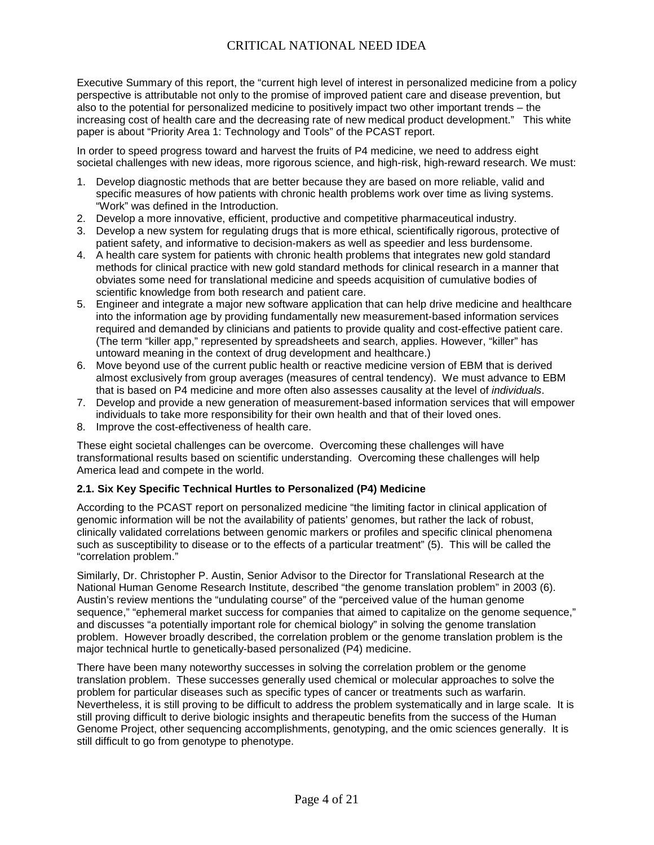Executive Summary of this report, the "current high level of interest in personalized medicine from a policy perspective is attributable not only to the promise of improved patient care and disease prevention, but also to the potential for personalized medicine to positively impact two other important trends – the increasing cost of health care and the decreasing rate of new medical product development." This white paper is about "Priority Area 1: Technology and Tools" of the PCAST report.

In order to speed progress toward and harvest the fruits of P4 medicine, we need to address eight societal challenges with new ideas, more rigorous science, and high-risk, high-reward research. We must:

- 1. Develop diagnostic methods that are better because they are based on more reliable, valid and specific measures of how patients with chronic health problems work over time as living systems. "Work" was defined in the Introduction.
- 2. Develop a more innovative, efficient, productive and competitive pharmaceutical industry.
- 3. Develop a new system for regulating drugs that is more ethical, scientifically rigorous, protective of patient safety, and informative to decision-makers as well as speedier and less burdensome.
- 4. A health care system for patients with chronic health problems that integrates new gold standard methods for clinical practice with new gold standard methods for clinical research in a manner that obviates some need for translational medicine and speeds acquisition of cumulative bodies of scientific knowledge from both research and patient care.
- 5. Engineer and integrate a major new software application that can help drive medicine and healthcare into the information age by providing fundamentally new measurement-based information services required and demanded by clinicians and patients to provide quality and cost-effective patient care. (The term "killer app," represented by spreadsheets and search, applies. However, "killer" has untoward meaning in the context of drug development and healthcare.)
- 6. Move beyond use of the current public health or reactive medicine version of EBM that is derived almost exclusively from group averages (measures of central tendency). We must advance to EBM that is based on P4 medicine and more often also assesses causality at the level of *individuals*.
- 7. Develop and provide a new generation of measurement-based information services that will empower individuals to take more responsibility for their own health and that of their loved ones.
- 8. Improve the cost-effectiveness of health care.

These eight societal challenges can be overcome. Overcoming these challenges will have transformational results based on scientific understanding. Overcoming these challenges will help America lead and compete in the world.

#### **2.1. Six Key Specific Technical Hurtles to Personalized (P4) Medicine**

According to the PCAST report on personalized medicine "the limiting factor in clinical application of genomic information will be not the availability of patients' genomes, but rather the lack of robust, clinically validated correlations between genomic markers or profiles and specific clinical phenomena such as susceptibility to disease or to the effects of a particular treatment" (5). This will be called the "correlation problem."

Similarly, Dr. Christopher P. Austin, Senior Advisor to the Director for Translational Research at the National Human Genome Research Institute, described "the genome translation problem" in 2003 (6). Austin's review mentions the "undulating course" of the "perceived value of the human genome sequence," "ephemeral market success for companies that aimed to capitalize on the genome sequence," and discusses "a potentially important role for chemical biology" in solving the genome translation problem. However broadly described, the correlation problem or the genome translation problem is the major technical hurtle to genetically-based personalized (P4) medicine.

There have been many noteworthy successes in solving the correlation problem or the genome translation problem. These successes generally used chemical or molecular approaches to solve the problem for particular diseases such as specific types of cancer or treatments such as warfarin. Nevertheless, it is still proving to be difficult to address the problem systematically and in large scale. It is still proving difficult to derive biologic insights and therapeutic benefits from the success of the Human Genome Project, other sequencing accomplishments, genotyping, and the omic sciences generally. It is still difficult to go from genotype to phenotype.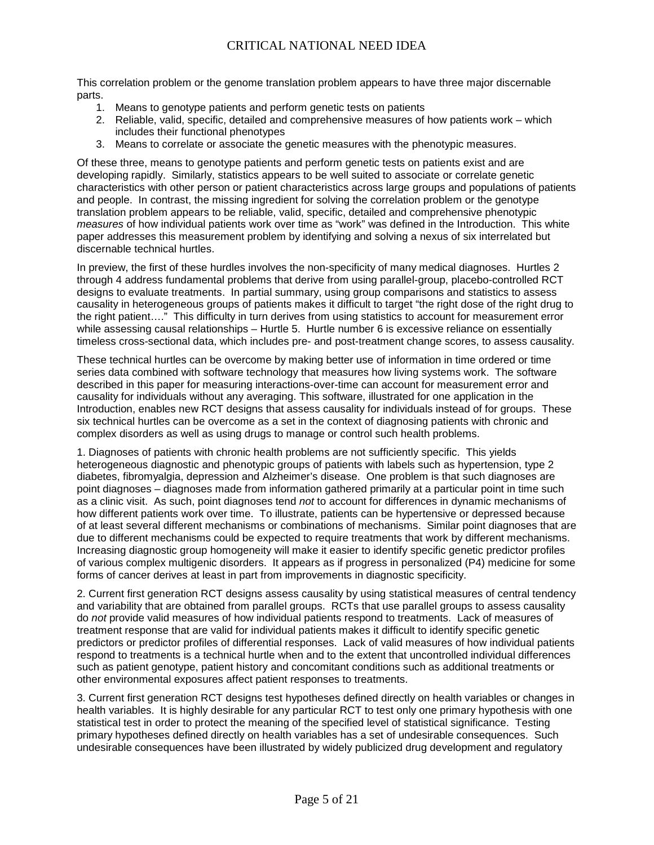This correlation problem or the genome translation problem appears to have three major discernable parts.

- 1. Means to genotype patients and perform genetic tests on patients
- 2. Reliable, valid, specific, detailed and comprehensive measures of how patients work which includes their functional phenotypes
- 3. Means to correlate or associate the genetic measures with the phenotypic measures.

Of these three, means to genotype patients and perform genetic tests on patients exist and are developing rapidly. Similarly, statistics appears to be well suited to associate or correlate genetic characteristics with other person or patient characteristics across large groups and populations of patients and people. In contrast, the missing ingredient for solving the correlation problem or the genotype translation problem appears to be reliable, valid, specific, detailed and comprehensive phenotypic *measures* of how individual patients work over time as "work" was defined in the Introduction. This white paper addresses this measurement problem by identifying and solving a nexus of six interrelated but discernable technical hurtles.

In preview, the first of these hurdles involves the non-specificity of many medical diagnoses. Hurtles 2 through 4 address fundamental problems that derive from using parallel-group, placebo-controlled RCT designs to evaluate treatments. In partial summary, using group comparisons and statistics to assess causality in heterogeneous groups of patients makes it difficult to target "the right dose of the right drug to the right patient…." This difficulty in turn derives from using statistics to account for measurement error while assessing causal relationships – Hurtle 5. Hurtle number 6 is excessive reliance on essentially timeless cross-sectional data, which includes pre- and post-treatment change scores, to assess causality.

These technical hurtles can be overcome by making better use of information in time ordered or time series data combined with software technology that measures how living systems work. The software described in this paper for measuring interactions-over-time can account for measurement error and causality for individuals without any averaging. This software, illustrated for one application in the Introduction, enables new RCT designs that assess causality for individuals instead of for groups. These six technical hurtles can be overcome as a set in the context of diagnosing patients with chronic and complex disorders as well as using drugs to manage or control such health problems.

1. Diagnoses of patients with chronic health problems are not sufficiently specific. This yields heterogeneous diagnostic and phenotypic groups of patients with labels such as hypertension, type 2 diabetes, fibromyalgia, depression and Alzheimer's disease. One problem is that such diagnoses are point diagnoses – diagnoses made from information gathered primarily at a particular point in time such as a clinic visit. As such, point diagnoses tend *not* to account for differences in dynamic mechanisms of how different patients work over time. To illustrate, patients can be hypertensive or depressed because of at least several different mechanisms or combinations of mechanisms. Similar point diagnoses that are due to different mechanisms could be expected to require treatments that work by different mechanisms. Increasing diagnostic group homogeneity will make it easier to identify specific genetic predictor profiles of various complex multigenic disorders. It appears as if progress in personalized (P4) medicine for some forms of cancer derives at least in part from improvements in diagnostic specificity.

2. Current first generation RCT designs assess causality by using statistical measures of central tendency and variability that are obtained from parallel groups. RCTs that use parallel groups to assess causality do *not* provide valid measures of how individual patients respond to treatments. Lack of measures of treatment response that are valid for individual patients makes it difficult to identify specific genetic predictors or predictor profiles of differential responses. Lack of valid measures of how individual patients respond to treatments is a technical hurtle when and to the extent that uncontrolled individual differences such as patient genotype, patient history and concomitant conditions such as additional treatments or other environmental exposures affect patient responses to treatments.

3. Current first generation RCT designs test hypotheses defined directly on health variables or changes in health variables. It is highly desirable for any particular RCT to test only one primary hypothesis with one statistical test in order to protect the meaning of the specified level of statistical significance. Testing primary hypotheses defined directly on health variables has a set of undesirable consequences. Such undesirable consequences have been illustrated by widely publicized drug development and regulatory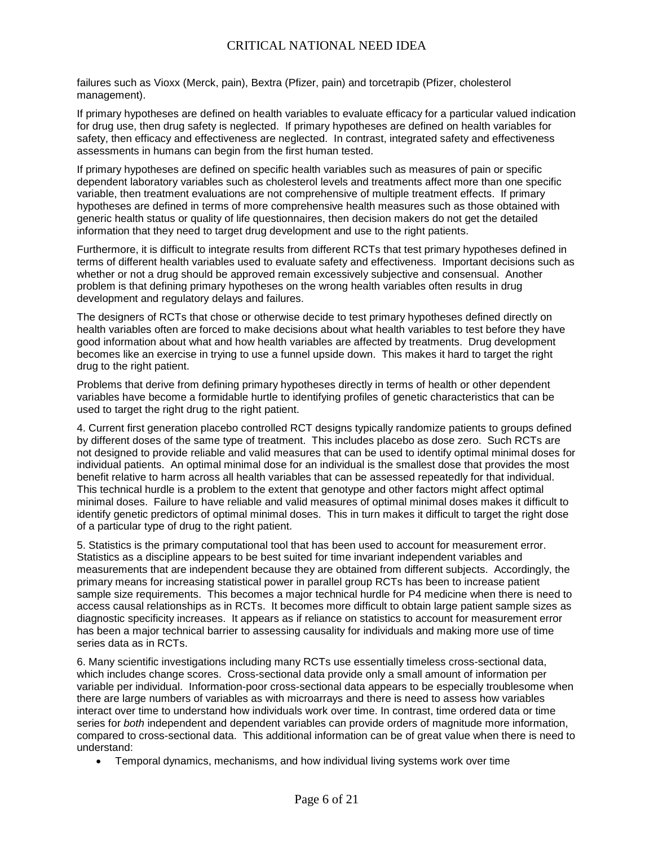failures such as Vioxx (Merck, pain), Bextra (Pfizer, pain) and torcetrapib (Pfizer, cholesterol management).

If primary hypotheses are defined on health variables to evaluate efficacy for a particular valued indication for drug use, then drug safety is neglected. If primary hypotheses are defined on health variables for safety, then efficacy and effectiveness are neglected. In contrast, integrated safety and effectiveness assessments in humans can begin from the first human tested.

If primary hypotheses are defined on specific health variables such as measures of pain or specific dependent laboratory variables such as cholesterol levels and treatments affect more than one specific variable, then treatment evaluations are not comprehensive of multiple treatment effects. If primary hypotheses are defined in terms of more comprehensive health measures such as those obtained with generic health status or quality of life questionnaires, then decision makers do not get the detailed information that they need to target drug development and use to the right patients.

Furthermore, it is difficult to integrate results from different RCTs that test primary hypotheses defined in terms of different health variables used to evaluate safety and effectiveness. Important decisions such as whether or not a drug should be approved remain excessively subjective and consensual. Another problem is that defining primary hypotheses on the wrong health variables often results in drug development and regulatory delays and failures.

The designers of RCTs that chose or otherwise decide to test primary hypotheses defined directly on health variables often are forced to make decisions about what health variables to test before they have good information about what and how health variables are affected by treatments. Drug development becomes like an exercise in trying to use a funnel upside down. This makes it hard to target the right drug to the right patient.

Problems that derive from defining primary hypotheses directly in terms of health or other dependent variables have become a formidable hurtle to identifying profiles of genetic characteristics that can be used to target the right drug to the right patient.

4. Current first generation placebo controlled RCT designs typically randomize patients to groups defined by different doses of the same type of treatment. This includes placebo as dose zero. Such RCTs are not designed to provide reliable and valid measures that can be used to identify optimal minimal doses for individual patients. An optimal minimal dose for an individual is the smallest dose that provides the most benefit relative to harm across all health variables that can be assessed repeatedly for that individual. This technical hurdle is a problem to the extent that genotype and other factors might affect optimal minimal doses. Failure to have reliable and valid measures of optimal minimal doses makes it difficult to identify genetic predictors of optimal minimal doses. This in turn makes it difficult to target the right dose of a particular type of drug to the right patient.

5. Statistics is the primary computational tool that has been used to account for measurement error. Statistics as a discipline appears to be best suited for time invariant independent variables and measurements that are independent because they are obtained from different subjects. Accordingly, the primary means for increasing statistical power in parallel group RCTs has been to increase patient sample size requirements. This becomes a major technical hurdle for P4 medicine when there is need to access causal relationships as in RCTs. It becomes more difficult to obtain large patient sample sizes as diagnostic specificity increases. It appears as if reliance on statistics to account for measurement error has been a major technical barrier to assessing causality for individuals and making more use of time series data as in RCTs.

6. Many scientific investigations including many RCTs use essentially timeless cross-sectional data, which includes change scores. Cross-sectional data provide only a small amount of information per variable per individual. Information-poor cross-sectional data appears to be especially troublesome when there are large numbers of variables as with microarrays and there is need to assess how variables interact over time to understand how individuals work over time. In contrast, time ordered data or time series for *both* independent and dependent variables can provide orders of magnitude more information, compared to cross-sectional data. This additional information can be of great value when there is need to understand:

• Temporal dynamics, mechanisms, and how individual living systems work over time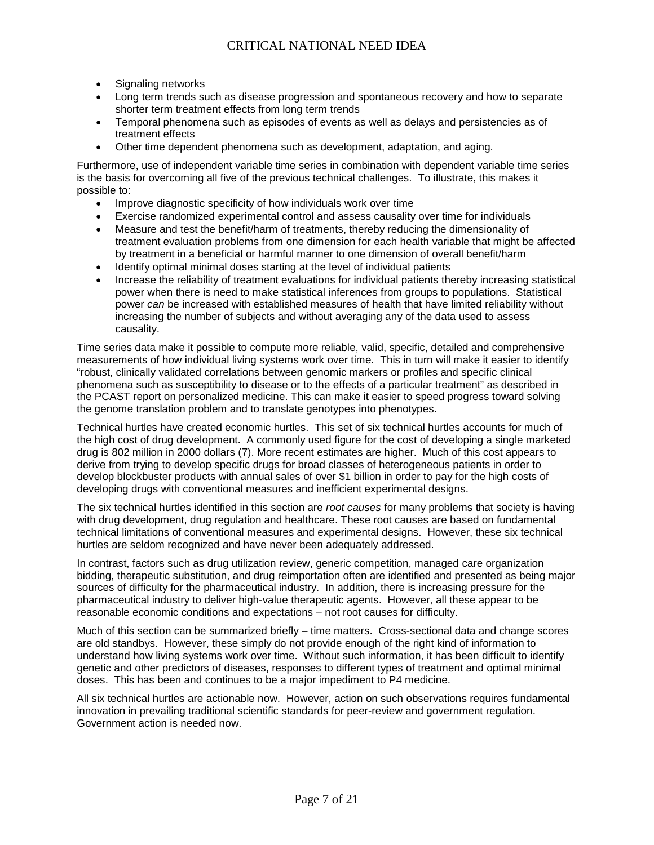- Signaling networks
- Long term trends such as disease progression and spontaneous recovery and how to separate shorter term treatment effects from long term trends
- Temporal phenomena such as episodes of events as well as delays and persistencies as of treatment effects
- Other time dependent phenomena such as development, adaptation, and aging.

Furthermore, use of independent variable time series in combination with dependent variable time series is the basis for overcoming all five of the previous technical challenges. To illustrate, this makes it possible to:

- Improve diagnostic specificity of how individuals work over time
- Exercise randomized experimental control and assess causality over time for individuals
- Measure and test the benefit/harm of treatments, thereby reducing the dimensionality of treatment evaluation problems from one dimension for each health variable that might be affected by treatment in a beneficial or harmful manner to one dimension of overall benefit/harm
- Identify optimal minimal doses starting at the level of individual patients
- Increase the reliability of treatment evaluations for individual patients thereby increasing statistical power when there is need to make statistical inferences from groups to populations. Statistical power *can* be increased with established measures of health that have limited reliability without increasing the number of subjects and without averaging any of the data used to assess causality.

Time series data make it possible to compute more reliable, valid, specific, detailed and comprehensive measurements of how individual living systems work over time. This in turn will make it easier to identify "robust, clinically validated correlations between genomic markers or profiles and specific clinical phenomena such as susceptibility to disease or to the effects of a particular treatment" as described in the PCAST report on personalized medicine. This can make it easier to speed progress toward solving the genome translation problem and to translate genotypes into phenotypes.

Technical hurtles have created economic hurtles. This set of six technical hurtles accounts for much of the high cost of drug development. A commonly used figure for the cost of developing a single marketed drug is 802 million in 2000 dollars (7). More recent estimates are higher. Much of this cost appears to derive from trying to develop specific drugs for broad classes of heterogeneous patients in order to develop blockbuster products with annual sales of over \$1 billion in order to pay for the high costs of developing drugs with conventional measures and inefficient experimental designs.

The six technical hurtles identified in this section are *root causes* for many problems that society is having with drug development, drug regulation and healthcare. These root causes are based on fundamental technical limitations of conventional measures and experimental designs. However, these six technical hurtles are seldom recognized and have never been adequately addressed.

In contrast, factors such as drug utilization review, generic competition, managed care organization bidding, therapeutic substitution, and drug reimportation often are identified and presented as being major sources of difficulty for the pharmaceutical industry. In addition, there is increasing pressure for the pharmaceutical industry to deliver high-value therapeutic agents. However, all these appear to be reasonable economic conditions and expectations – not root causes for difficulty.

Much of this section can be summarized briefly – time matters. Cross-sectional data and change scores are old standbys. However, these simply do not provide enough of the right kind of information to understand how living systems work over time. Without such information, it has been difficult to identify genetic and other predictors of diseases, responses to different types of treatment and optimal minimal doses. This has been and continues to be a major impediment to P4 medicine.

All six technical hurtles are actionable now. However, action on such observations requires fundamental innovation in prevailing traditional scientific standards for peer-review and government regulation. Government action is needed now.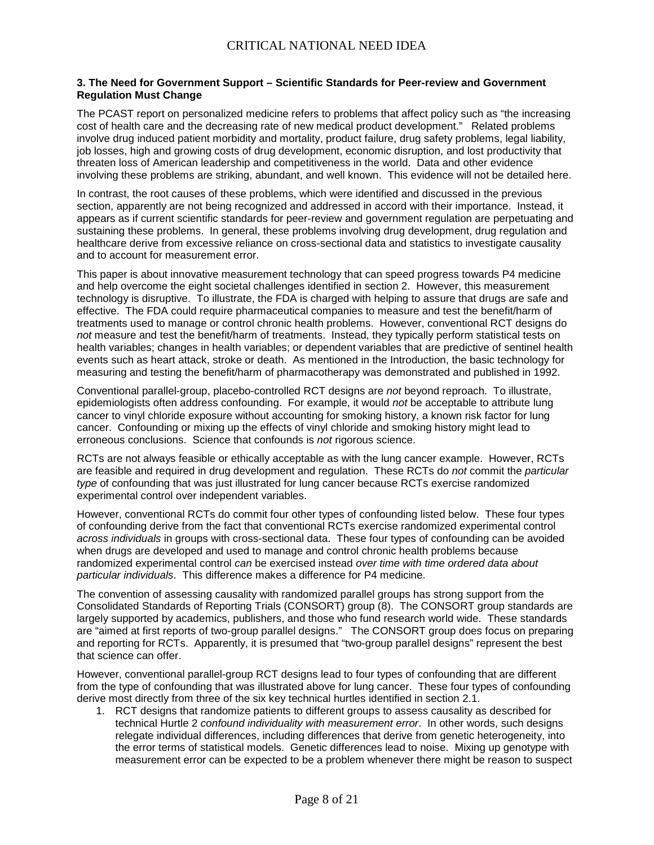#### **3. The Need for Government Support – Scientific Standards for Peer-review and Government Regulation Must Change**

The PCAST report on personalized medicine refers to problems that affect policy such as "the increasing cost of health care and the decreasing rate of new medical product development." Related problems involve drug induced patient morbidity and mortality, product failure, drug safety problems, legal liability, job losses, high and growing costs of drug development, economic disruption, and lost productivity that threaten loss of American leadership and competitiveness in the world. Data and other evidence involving these problems are striking, abundant, and well known. This evidence will not be detailed here.

In contrast, the root causes of these problems, which were identified and discussed in the previous section, apparently are not being recognized and addressed in accord with their importance. Instead, it appears as if current scientific standards for peer-review and government regulation are perpetuating and sustaining these problems. In general, these problems involving drug development, drug regulation and healthcare derive from excessive reliance on cross-sectional data and statistics to investigate causality and to account for measurement error.

This paper is about innovative measurement technology that can speed progress towards P4 medicine and help overcome the eight societal challenges identified in section 2. However, this measurement technology is disruptive. To illustrate, the FDA is charged with helping to assure that drugs are safe and effective. The FDA could require pharmaceutical companies to measure and test the benefit/harm of treatments used to manage or control chronic health problems. However, conventional RCT designs do *not* measure and test the benefit/harm of treatments. Instead, they typically perform statistical tests on health variables; changes in health variables; or dependent variables that are predictive of sentinel health events such as heart attack, stroke or death. As mentioned in the Introduction, the basic technology for measuring and testing the benefit/harm of pharmacotherapy was demonstrated and published in 1992.

Conventional parallel-group, placebo-controlled RCT designs are *not* beyond reproach. To illustrate, epidemiologists often address confounding. For example, it would *not* be acceptable to attribute lung cancer to vinyl chloride exposure without accounting for smoking history, a known risk factor for lung cancer. Confounding or mixing up the effects of vinyl chloride and smoking history might lead to erroneous conclusions. Science that confounds is *not* rigorous science.

RCTs are not always feasible or ethically acceptable as with the lung cancer example. However, RCTs are feasible and required in drug development and regulation. These RCTs do *not* commit the *particular type* of confounding that was just illustrated for lung cancer because RCTs exercise randomized experimental control over independent variables.

However, conventional RCTs do commit four other types of confounding listed below. These four types of confounding derive from the fact that conventional RCTs exercise randomized experimental control *across individuals* in groups with cross-sectional data. These four types of confounding can be avoided when drugs are developed and used to manage and control chronic health problems because randomized experimental control *can* be exercised instead *over time with time ordered data about particular individuals*. This difference makes a difference for P4 medicine.

The convention of assessing causality with randomized parallel groups has strong support from the Consolidated Standards of Reporting Trials (CONSORT) group (8). The CONSORT group standards are largely supported by academics, publishers, and those who fund research world wide. These standards are "aimed at first reports of two-group parallel designs." The CONSORT group does focus on preparing and reporting for RCTs. Apparently, it is presumed that "two-group parallel designs" represent the best that science can offer.

However, conventional parallel-group RCT designs lead to four types of confounding that are different from the type of confounding that was illustrated above for lung cancer. These four types of confounding derive most directly from three of the six key technical hurtles identified in section 2.1.

1. RCT designs that randomize patients to different groups to assess causality as described for technical Hurtle 2 *confound individuality with measurement error*. In other words, such designs relegate individual differences, including differences that derive from genetic heterogeneity, into the error terms of statistical models. Genetic differences lead to noise. Mixing up genotype with measurement error can be expected to be a problem whenever there might be reason to suspect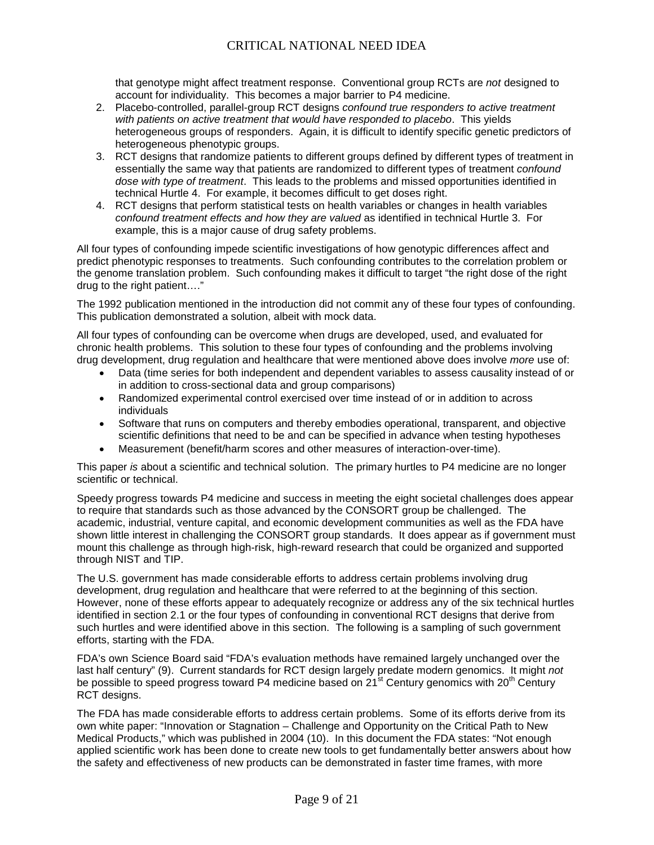that genotype might affect treatment response. Conventional group RCTs are *not* designed to account for individuality. This becomes a major barrier to P4 medicine.

- 2. Placebo-controlled, parallel-group RCT designs *confound true responders to active treatment with patients on active treatment that would have responded to placebo*. This yields heterogeneous groups of responders. Again, it is difficult to identify specific genetic predictors of heterogeneous phenotypic groups.
- 3. RCT designs that randomize patients to different groups defined by different types of treatment in essentially the same way that patients are randomized to different types of treatment *confound dose with type of treatment*. This leads to the problems and missed opportunities identified in technical Hurtle 4. For example, it becomes difficult to get doses right.
- 4. RCT designs that perform statistical tests on health variables or changes in health variables *confound treatment effects and how they are valued* as identified in technical Hurtle 3. For example, this is a major cause of drug safety problems.

All four types of confounding impede scientific investigations of how genotypic differences affect and predict phenotypic responses to treatments. Such confounding contributes to the correlation problem or the genome translation problem. Such confounding makes it difficult to target "the right dose of the right drug to the right patient…."

The 1992 publication mentioned in the introduction did not commit any of these four types of confounding. This publication demonstrated a solution, albeit with mock data.

All four types of confounding can be overcome when drugs are developed, used, and evaluated for chronic health problems. This solution to these four types of confounding and the problems involving drug development, drug regulation and healthcare that were mentioned above does involve *more* use of:

- Data (time series for both independent and dependent variables to assess causality instead of or in addition to cross-sectional data and group comparisons)
- Randomized experimental control exercised over time instead of or in addition to across individuals
- Software that runs on computers and thereby embodies operational, transparent, and objective scientific definitions that need to be and can be specified in advance when testing hypotheses
- Measurement (benefit/harm scores and other measures of interaction-over-time).

This paper *is* about a scientific and technical solution. The primary hurtles to P4 medicine are no longer scientific or technical.

Speedy progress towards P4 medicine and success in meeting the eight societal challenges does appear to require that standards such as those advanced by the CONSORT group be challenged. The academic, industrial, venture capital, and economic development communities as well as the FDA have shown little interest in challenging the CONSORT group standards. It does appear as if government must mount this challenge as through high-risk, high-reward research that could be organized and supported through NIST and TIP.

The U.S. government has made considerable efforts to address certain problems involving drug development, drug regulation and healthcare that were referred to at the beginning of this section. However, none of these efforts appear to adequately recognize or address any of the six technical hurtles identified in section 2.1 or the four types of confounding in conventional RCT designs that derive from such hurtles and were identified above in this section. The following is a sampling of such government efforts, starting with the FDA.

FDA's own Science Board said "FDA's evaluation methods have remained largely unchanged over the last half century" (9). Current standards for RCT design largely predate modern genomics. It might *not* be possible to speed progress toward P4 medicine based on 21<sup>st</sup> Century genomics with 20<sup>th</sup> Century RCT designs.

The FDA has made considerable efforts to address certain problems. Some of its efforts derive from its own white paper: "Innovation or Stagnation – Challenge and Opportunity on the Critical Path to New Medical Products," which was published in 2004 (10). In this document the FDA states: "Not enough applied scientific work has been done to create new tools to get fundamentally better answers about how the safety and effectiveness of new products can be demonstrated in faster time frames, with more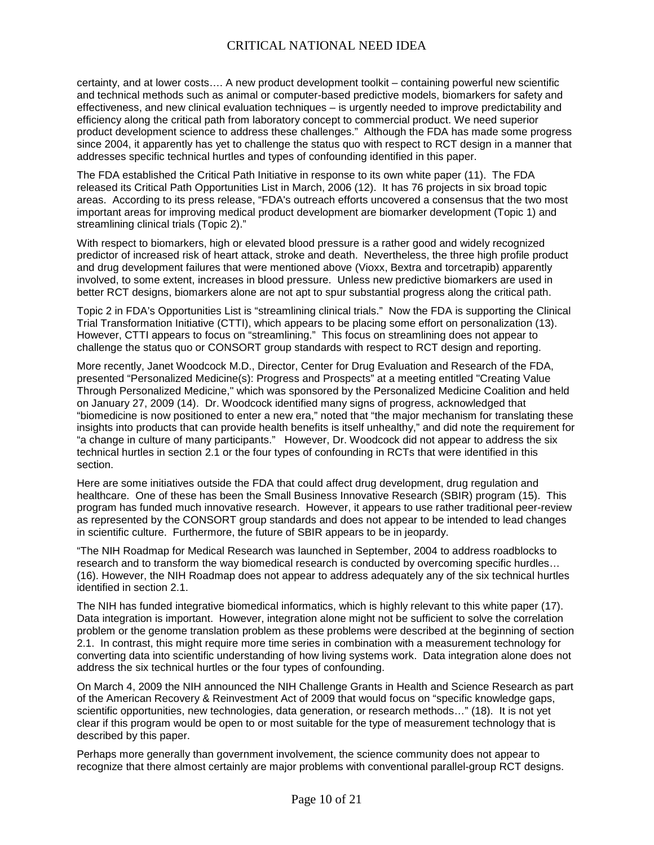certainty, and at lower costs…. A new product development toolkit – containing powerful new scientific and technical methods such as animal or computer-based predictive models, biomarkers for safety and effectiveness, and new clinical evaluation techniques – is urgently needed to improve predictability and efficiency along the critical path from laboratory concept to commercial product. We need superior product development science to address these challenges." Although the FDA has made some progress since 2004, it apparently has yet to challenge the status quo with respect to RCT design in a manner that addresses specific technical hurtles and types of confounding identified in this paper.

The FDA established the Critical Path Initiative in response to its own white paper (11). The FDA released its Critical Path Opportunities List in March, 2006 (12). It has 76 projects in six broad topic areas. According to its press release, "FDA's outreach efforts uncovered a consensus that the two most important areas for improving medical product development are biomarker development (Topic 1) and streamlining clinical trials (Topic 2)."

With respect to biomarkers, high or elevated blood pressure is a rather good and widely recognized predictor of increased risk of heart attack, stroke and death. Nevertheless, the three high profile product and drug development failures that were mentioned above (Vioxx, Bextra and torcetrapib) apparently involved, to some extent, increases in blood pressure. Unless new predictive biomarkers are used in better RCT designs, biomarkers alone are not apt to spur substantial progress along the critical path.

Topic 2 in FDA's Opportunities List is "streamlining clinical trials." Now the FDA is supporting the Clinical Trial Transformation Initiative (CTTI), which appears to be placing some effort on personalization (13). However, CTTI appears to focus on "streamlining." This focus on streamlining does not appear to challenge the status quo or CONSORT group standards with respect to RCT design and reporting.

More recently, Janet Woodcock M.D., Director, Center for Drug Evaluation and Research of the FDA, presented "Personalized Medicine(s): Progress and Prospects" at a meeting entitled "Creating Value Through Personalized Medicine," which was sponsored by the Personalized Medicine Coalition and held on January 27, 2009 (14). Dr. Woodcock identified many signs of progress, acknowledged that "biomedicine is now positioned to enter a new era," noted that "the major mechanism for translating these insights into products that can provide health benefits is itself unhealthy," and did note the requirement for "a change in culture of many participants." However, Dr. Woodcock did not appear to address the six technical hurtles in section 2.1 or the four types of confounding in RCTs that were identified in this section.

Here are some initiatives outside the FDA that could affect drug development, drug regulation and healthcare. One of these has been the Small Business Innovative Research (SBIR) program (15). This program has funded much innovative research. However, it appears to use rather traditional peer-review as represented by the CONSORT group standards and does not appear to be intended to lead changes in scientific culture. Furthermore, the future of SBIR appears to be in jeopardy.

"The NIH Roadmap for Medical Research was launched in September, 2004 to address roadblocks to research and to transform the way biomedical research is conducted by overcoming specific hurdles… (16). However, the NIH Roadmap does not appear to address adequately any of the six technical hurtles identified in section 2.1.

The NIH has funded integrative biomedical informatics, which is highly relevant to this white paper (17). Data integration is important. However, integration alone might not be sufficient to solve the correlation problem or the genome translation problem as these problems were described at the beginning of section 2.1. In contrast, this might require more time series in combination with a measurement technology for converting data into scientific understanding of how living systems work. Data integration alone does not address the six technical hurtles or the four types of confounding.

On March 4, 2009 the NIH announced the NIH Challenge Grants in Health and Science Research as part of the American Recovery & Reinvestment Act of 2009 that would focus on "specific knowledge gaps, scientific opportunities, new technologies, data generation, or research methods…" (18). It is not yet clear if this program would be open to or most suitable for the type of measurement technology that is described by this paper.

Perhaps more generally than government involvement, the science community does not appear to recognize that there almost certainly are major problems with conventional parallel-group RCT designs.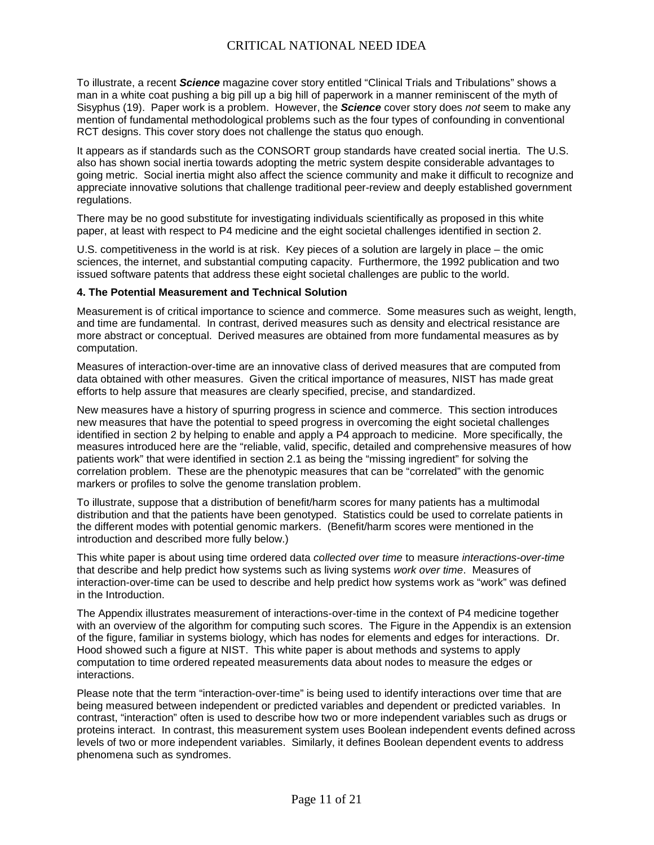To illustrate, a recent *Science* magazine cover story entitled "Clinical Trials and Tribulations" shows a man in a white coat pushing a big pill up a big hill of paperwork in a manner reminiscent of the myth of Sisyphus (19). Paper work is a problem. However, the *Science* cover story does *not* seem to make any mention of fundamental methodological problems such as the four types of confounding in conventional RCT designs. This cover story does not challenge the status quo enough.

It appears as if standards such as the CONSORT group standards have created social inertia. The U.S. also has shown social inertia towards adopting the metric system despite considerable advantages to going metric. Social inertia might also affect the science community and make it difficult to recognize and appreciate innovative solutions that challenge traditional peer-review and deeply established government regulations.

There may be no good substitute for investigating individuals scientifically as proposed in this white paper, at least with respect to P4 medicine and the eight societal challenges identified in section 2.

U.S. competitiveness in the world is at risk. Key pieces of a solution are largely in place – the omic sciences, the internet, and substantial computing capacity. Furthermore, the 1992 publication and two issued software patents that address these eight societal challenges are public to the world.

#### **4. The Potential Measurement and Technical Solution**

Measurement is of critical importance to science and commerce. Some measures such as weight, length, and time are fundamental. In contrast, derived measures such as density and electrical resistance are more abstract or conceptual. Derived measures are obtained from more fundamental measures as by computation.

Measures of interaction-over-time are an innovative class of derived measures that are computed from data obtained with other measures. Given the critical importance of measures, NIST has made great efforts to help assure that measures are clearly specified, precise, and standardized.

New measures have a history of spurring progress in science and commerce. This section introduces new measures that have the potential to speed progress in overcoming the eight societal challenges identified in section 2 by helping to enable and apply a P4 approach to medicine. More specifically, the measures introduced here are the "reliable, valid, specific, detailed and comprehensive measures of how patients work" that were identified in section 2.1 as being the "missing ingredient" for solving the correlation problem. These are the phenotypic measures that can be "correlated" with the genomic markers or profiles to solve the genome translation problem.

To illustrate, suppose that a distribution of benefit/harm scores for many patients has a multimodal distribution and that the patients have been genotyped. Statistics could be used to correlate patients in the different modes with potential genomic markers. (Benefit/harm scores were mentioned in the introduction and described more fully below.)

This white paper is about using time ordered data *collected over time* to measure *interactions-over-time* that describe and help predict how systems such as living systems *work over time*. Measures of interaction-over-time can be used to describe and help predict how systems work as "work" was defined in the Introduction.

The Appendix illustrates measurement of interactions-over-time in the context of P4 medicine together with an overview of the algorithm for computing such scores. The Figure in the Appendix is an extension of the figure, familiar in systems biology, which has nodes for elements and edges for interactions. Dr. Hood showed such a figure at NIST. This white paper is about methods and systems to apply computation to time ordered repeated measurements data about nodes to measure the edges or interactions.

Please note that the term "interaction-over-time" is being used to identify interactions over time that are being measured between independent or predicted variables and dependent or predicted variables. In contrast, "interaction" often is used to describe how two or more independent variables such as drugs or proteins interact. In contrast, this measurement system uses Boolean independent events defined across levels of two or more independent variables. Similarly, it defines Boolean dependent events to address phenomena such as syndromes.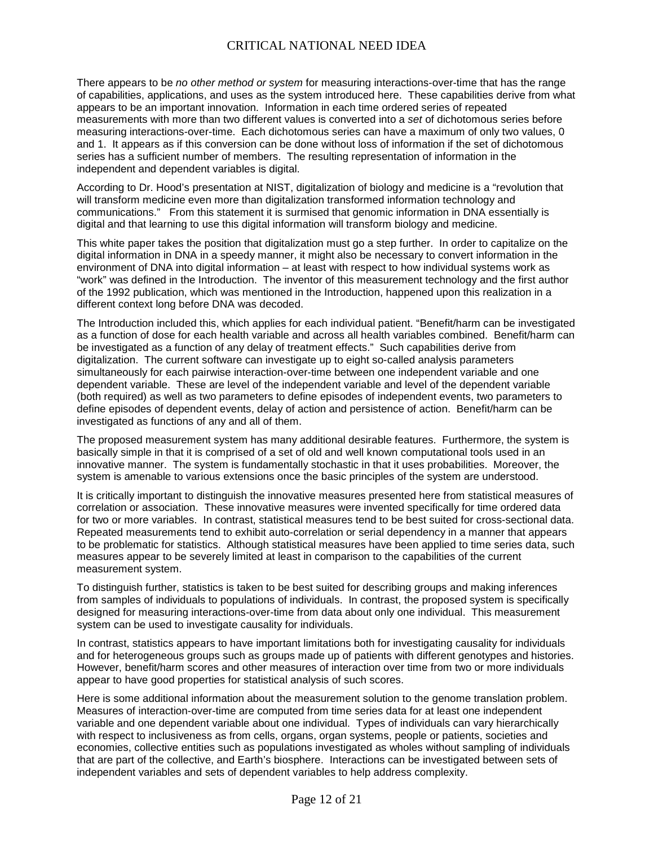There appears to be *no other method or system* for measuring interactions-over-time that has the range of capabilities, applications, and uses as the system introduced here. These capabilities derive from what appears to be an important innovation. Information in each time ordered series of repeated measurements with more than two different values is converted into a *set* of dichotomous series before measuring interactions-over-time. Each dichotomous series can have a maximum of only two values, 0 and 1. It appears as if this conversion can be done without loss of information if the set of dichotomous series has a sufficient number of members. The resulting representation of information in the independent and dependent variables is digital.

According to Dr. Hood's presentation at NIST, digitalization of biology and medicine is a "revolution that will transform medicine even more than digitalization transformed information technology and communications." From this statement it is surmised that genomic information in DNA essentially is digital and that learning to use this digital information will transform biology and medicine.

This white paper takes the position that digitalization must go a step further. In order to capitalize on the digital information in DNA in a speedy manner, it might also be necessary to convert information in the environment of DNA into digital information – at least with respect to how individual systems work as "work" was defined in the Introduction. The inventor of this measurement technology and the first author of the 1992 publication, which was mentioned in the Introduction, happened upon this realization in a different context long before DNA was decoded.

The Introduction included this, which applies for each individual patient. "Benefit/harm can be investigated as a function of dose for each health variable and across all health variables combined. Benefit/harm can be investigated as a function of any delay of treatment effects." Such capabilities derive from digitalization. The current software can investigate up to eight so-called analysis parameters simultaneously for each pairwise interaction-over-time between one independent variable and one dependent variable. These are level of the independent variable and level of the dependent variable (both required) as well as two parameters to define episodes of independent events, two parameters to define episodes of dependent events, delay of action and persistence of action. Benefit/harm can be investigated as functions of any and all of them.

The proposed measurement system has many additional desirable features. Furthermore, the system is basically simple in that it is comprised of a set of old and well known computational tools used in an innovative manner. The system is fundamentally stochastic in that it uses probabilities. Moreover, the system is amenable to various extensions once the basic principles of the system are understood.

It is critically important to distinguish the innovative measures presented here from statistical measures of correlation or association. These innovative measures were invented specifically for time ordered data for two or more variables. In contrast, statistical measures tend to be best suited for cross-sectional data. Repeated measurements tend to exhibit auto-correlation or serial dependency in a manner that appears to be problematic for statistics. Although statistical measures have been applied to time series data, such measures appear to be severely limited at least in comparison to the capabilities of the current measurement system.

To distinguish further, statistics is taken to be best suited for describing groups and making inferences from samples of individuals to populations of individuals. In contrast, the proposed system is specifically designed for measuring interactions-over-time from data about only one individual. This measurement system can be used to investigate causality for individuals.

In contrast, statistics appears to have important limitations both for investigating causality for individuals and for heterogeneous groups such as groups made up of patients with different genotypes and histories. However, benefit/harm scores and other measures of interaction over time from two or more individuals appear to have good properties for statistical analysis of such scores.

Here is some additional information about the measurement solution to the genome translation problem. Measures of interaction-over-time are computed from time series data for at least one independent variable and one dependent variable about one individual. Types of individuals can vary hierarchically with respect to inclusiveness as from cells, organs, organ systems, people or patients, societies and economies, collective entities such as populations investigated as wholes without sampling of individuals that are part of the collective, and Earth's biosphere. Interactions can be investigated between sets of independent variables and sets of dependent variables to help address complexity.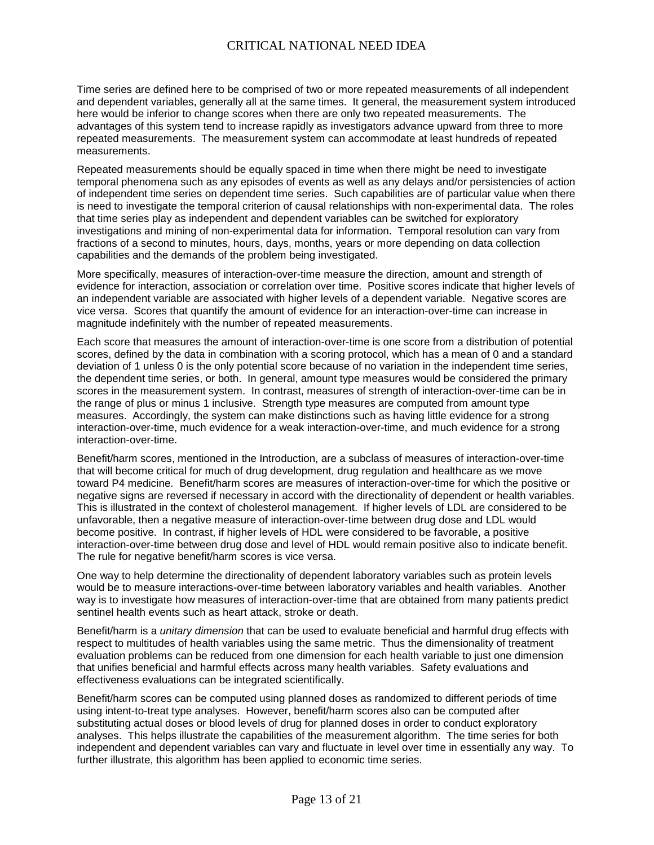Time series are defined here to be comprised of two or more repeated measurements of all independent and dependent variables, generally all at the same times. It general, the measurement system introduced here would be inferior to change scores when there are only two repeated measurements. The advantages of this system tend to increase rapidly as investigators advance upward from three to more repeated measurements. The measurement system can accommodate at least hundreds of repeated measurements.

Repeated measurements should be equally spaced in time when there might be need to investigate temporal phenomena such as any episodes of events as well as any delays and/or persistencies of action of independent time series on dependent time series. Such capabilities are of particular value when there is need to investigate the temporal criterion of causal relationships with non-experimental data. The roles that time series play as independent and dependent variables can be switched for exploratory investigations and mining of non-experimental data for information. Temporal resolution can vary from fractions of a second to minutes, hours, days, months, years or more depending on data collection capabilities and the demands of the problem being investigated.

More specifically, measures of interaction-over-time measure the direction, amount and strength of evidence for interaction, association or correlation over time. Positive scores indicate that higher levels of an independent variable are associated with higher levels of a dependent variable. Negative scores are vice versa. Scores that quantify the amount of evidence for an interaction-over-time can increase in magnitude indefinitely with the number of repeated measurements.

Each score that measures the amount of interaction-over-time is one score from a distribution of potential scores, defined by the data in combination with a scoring protocol, which has a mean of 0 and a standard deviation of 1 unless 0 is the only potential score because of no variation in the independent time series, the dependent time series, or both. In general, amount type measures would be considered the primary scores in the measurement system. In contrast, measures of strength of interaction-over-time can be in the range of plus or minus 1 inclusive. Strength type measures are computed from amount type measures. Accordingly, the system can make distinctions such as having little evidence for a strong interaction-over-time, much evidence for a weak interaction-over-time, and much evidence for a strong interaction-over-time.

Benefit/harm scores, mentioned in the Introduction, are a subclass of measures of interaction-over-time that will become critical for much of drug development, drug regulation and healthcare as we move toward P4 medicine. Benefit/harm scores are measures of interaction-over-time for which the positive or negative signs are reversed if necessary in accord with the directionality of dependent or health variables. This is illustrated in the context of cholesterol management. If higher levels of LDL are considered to be unfavorable, then a negative measure of interaction-over-time between drug dose and LDL would become positive. In contrast, if higher levels of HDL were considered to be favorable, a positive interaction-over-time between drug dose and level of HDL would remain positive also to indicate benefit. The rule for negative benefit/harm scores is vice versa.

One way to help determine the directionality of dependent laboratory variables such as protein levels would be to measure interactions-over-time between laboratory variables and health variables. Another way is to investigate how measures of interaction-over-time that are obtained from many patients predict sentinel health events such as heart attack, stroke or death.

Benefit/harm is a *unitary dimension* that can be used to evaluate beneficial and harmful drug effects with respect to multitudes of health variables using the same metric. Thus the dimensionality of treatment evaluation problems can be reduced from one dimension for each health variable to just one dimension that unifies beneficial and harmful effects across many health variables. Safety evaluations and effectiveness evaluations can be integrated scientifically.

Benefit/harm scores can be computed using planned doses as randomized to different periods of time using intent-to-treat type analyses. However, benefit/harm scores also can be computed after substituting actual doses or blood levels of drug for planned doses in order to conduct exploratory analyses. This helps illustrate the capabilities of the measurement algorithm. The time series for both independent and dependent variables can vary and fluctuate in level over time in essentially any way. To further illustrate, this algorithm has been applied to economic time series.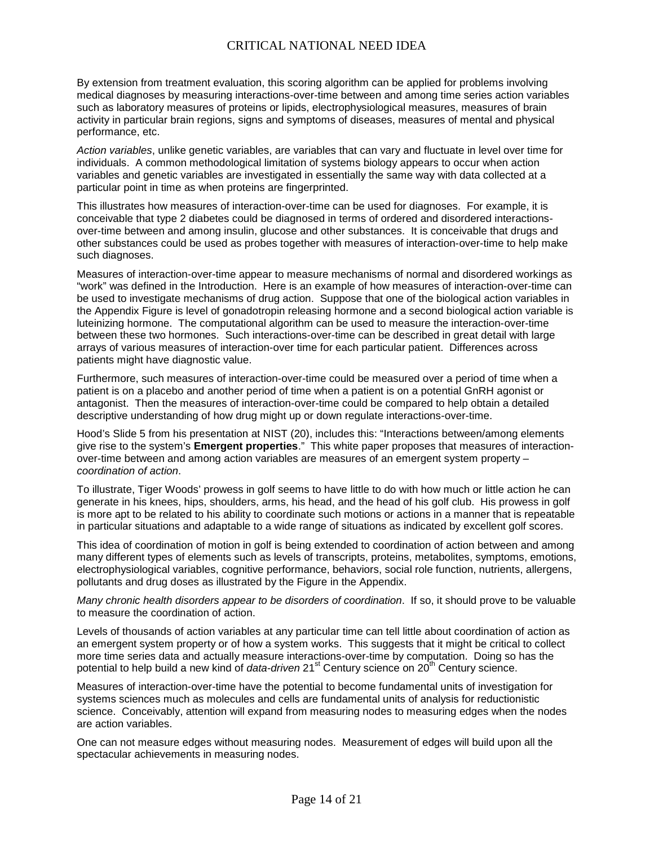By extension from treatment evaluation, this scoring algorithm can be applied for problems involving medical diagnoses by measuring interactions-over-time between and among time series action variables such as laboratory measures of proteins or lipids, electrophysiological measures, measures of brain activity in particular brain regions, signs and symptoms of diseases, measures of mental and physical performance, etc.

*Action variables*, unlike genetic variables, are variables that can vary and fluctuate in level over time for individuals. A common methodological limitation of systems biology appears to occur when action variables and genetic variables are investigated in essentially the same way with data collected at a particular point in time as when proteins are fingerprinted.

This illustrates how measures of interaction-over-time can be used for diagnoses. For example, it is conceivable that type 2 diabetes could be diagnosed in terms of ordered and disordered interactionsover-time between and among insulin, glucose and other substances. It is conceivable that drugs and other substances could be used as probes together with measures of interaction-over-time to help make such diagnoses.

Measures of interaction-over-time appear to measure mechanisms of normal and disordered workings as "work" was defined in the Introduction. Here is an example of how measures of interaction-over-time can be used to investigate mechanisms of drug action. Suppose that one of the biological action variables in the Appendix Figure is level of gonadotropin releasing hormone and a second biological action variable is luteinizing hormone. The computational algorithm can be used to measure the interaction-over-time between these two hormones. Such interactions-over-time can be described in great detail with large arrays of various measures of interaction-over time for each particular patient. Differences across patients might have diagnostic value.

Furthermore, such measures of interaction-over-time could be measured over a period of time when a patient is on a placebo and another period of time when a patient is on a potential GnRH agonist or antagonist. Then the measures of interaction-over-time could be compared to help obtain a detailed descriptive understanding of how drug might up or down regulate interactions-over-time.

Hood's Slide 5 from his presentation at NIST (20), includes this: "Interactions between/among elements give rise to the system's **Emergent properties**." This white paper proposes that measures of interactionover-time between and among action variables are measures of an emergent system property – *coordination of action*.

To illustrate, Tiger Woods' prowess in golf seems to have little to do with how much or little action he can generate in his knees, hips, shoulders, arms, his head, and the head of his golf club. His prowess in golf is more apt to be related to his ability to coordinate such motions or actions in a manner that is repeatable in particular situations and adaptable to a wide range of situations as indicated by excellent golf scores.

This idea of coordination of motion in golf is being extended to coordination of action between and among many different types of elements such as levels of transcripts, proteins, metabolites, symptoms, emotions, electrophysiological variables, cognitive performance, behaviors, social role function, nutrients, allergens, pollutants and drug doses as illustrated by the Figure in the Appendix.

*Many chronic health disorders appear to be disorders of coordination*. If so, it should prove to be valuable to measure the coordination of action.

Levels of thousands of action variables at any particular time can tell little about coordination of action as an emergent system property or of how a system works. This suggests that it might be critical to collect more time series data and actually measure interactions-over-time by computation. Doing so has the potential to help build a new kind of *data-driven* 21<sup>st</sup> Century science on 20<sup>th</sup> Century science.

Measures of interaction-over-time have the potential to become fundamental units of investigation for systems sciences much as molecules and cells are fundamental units of analysis for reductionistic science. Conceivably, attention will expand from measuring nodes to measuring edges when the nodes are action variables.

One can not measure edges without measuring nodes. Measurement of edges will build upon all the spectacular achievements in measuring nodes.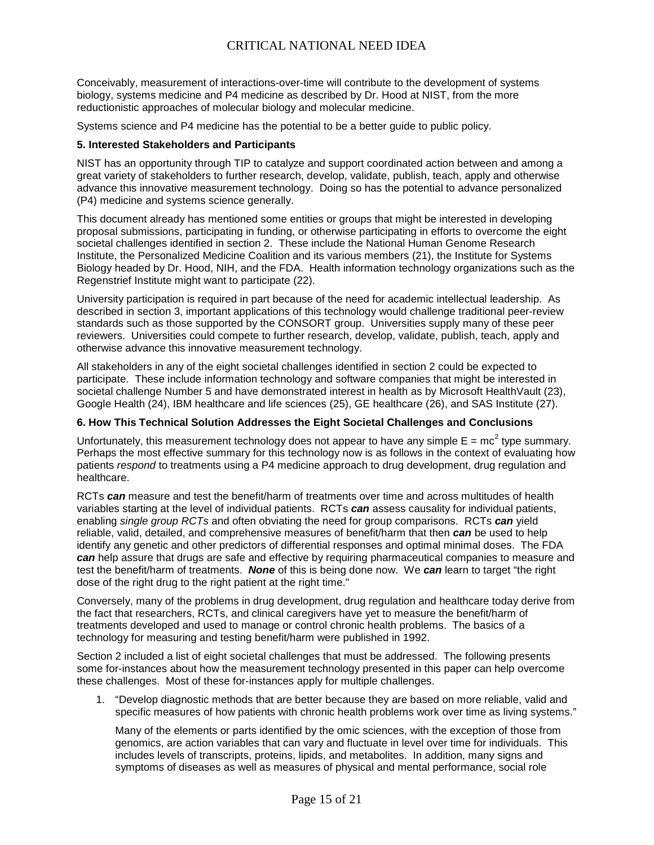Conceivably, measurement of interactions-over-time will contribute to the development of systems biology, systems medicine and P4 medicine as described by Dr. Hood at NIST, from the more reductionistic approaches of molecular biology and molecular medicine.

Systems science and P4 medicine has the potential to be a better guide to public policy.

#### **5. Interested Stakeholders and Participants**

NIST has an opportunity through TIP to catalyze and support coordinated action between and among a great variety of stakeholders to further research, develop, validate, publish, teach, apply and otherwise advance this innovative measurement technology. Doing so has the potential to advance personalized (P4) medicine and systems science generally.

This document already has mentioned some entities or groups that might be interested in developing proposal submissions, participating in funding, or otherwise participating in efforts to overcome the eight societal challenges identified in section 2. These include the National Human Genome Research Institute, the Personalized Medicine Coalition and its various members (21), the Institute for Systems Biology headed by Dr. Hood, NIH, and the FDA. Health information technology organizations such as the Regenstrief Institute might want to participate (22).

University participation is required in part because of the need for academic intellectual leadership. As described in section 3, important applications of this technology would challenge traditional peer-review standards such as those supported by the CONSORT group. Universities supply many of these peer reviewers. Universities could compete to further research, develop, validate, publish, teach, apply and otherwise advance this innovative measurement technology.

All stakeholders in any of the eight societal challenges identified in section 2 could be expected to participate. These include information technology and software companies that might be interested in societal challenge Number 5 and have demonstrated interest in health as by Microsoft HealthVault (23), Google Health (24), IBM healthcare and life sciences (25), GE healthcare (26), and SAS Institute (27).

#### **6. How This Technical Solution Addresses the Eight Societal Challenges and Conclusions**

Unfortunately, this measurement technology does not appear to have any simple  $E = mc^2$  type summary. Perhaps the most effective summary for this technology now is as follows in the context of evaluating how patients *respond* to treatments using a P4 medicine approach to drug development, drug regulation and healthcare.

RCTs *can* measure and test the benefit/harm of treatments over time and across multitudes of health variables starting at the level of individual patients. RCTs *can* assess causality for individual patients, enabling *single group RCTs* and often obviating the need for group comparisons. RCTs *can* yield reliable, valid, detailed, and comprehensive measures of benefit/harm that then *can* be used to help identify any genetic and other predictors of differential responses and optimal minimal doses. The FDA *can* help assure that drugs are safe and effective by requiring pharmaceutical companies to measure and test the benefit/harm of treatments. *None* of this is being done now. We *can* learn to target "the right dose of the right drug to the right patient at the right time."

Conversely, many of the problems in drug development, drug regulation and healthcare today derive from the fact that researchers, RCTs, and clinical caregivers have yet to measure the benefit/harm of treatments developed and used to manage or control chronic health problems. The basics of a technology for measuring and testing benefit/harm were published in 1992.

Section 2 included a list of eight societal challenges that must be addressed. The following presents some for-instances about how the measurement technology presented in this paper can help overcome these challenges. Most of these for-instances apply for multiple challenges.

1. "Develop diagnostic methods that are better because they are based on more reliable, valid and specific measures of how patients with chronic health problems work over time as living systems."

Many of the elements or parts identified by the omic sciences, with the exception of those from genomics, are action variables that can vary and fluctuate in level over time for individuals. This includes levels of transcripts, proteins, lipids, and metabolites. In addition, many signs and symptoms of diseases as well as measures of physical and mental performance, social role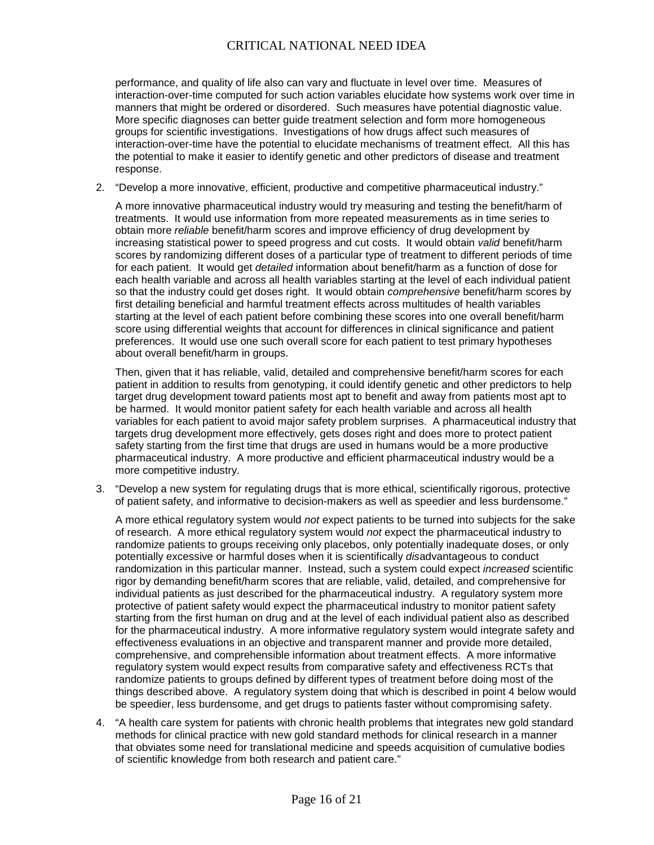performance, and quality of life also can vary and fluctuate in level over time. Measures of interaction-over-time computed for such action variables elucidate how systems work over time in manners that might be ordered or disordered. Such measures have potential diagnostic value. More specific diagnoses can better guide treatment selection and form more homogeneous groups for scientific investigations. Investigations of how drugs affect such measures of interaction-over-time have the potential to elucidate mechanisms of treatment effect. All this has the potential to make it easier to identify genetic and other predictors of disease and treatment response.

2. "Develop a more innovative, efficient, productive and competitive pharmaceutical industry."

A more innovative pharmaceutical industry would try measuring and testing the benefit/harm of treatments. It would use information from more repeated measurements as in time series to obtain more *reliable* benefit/harm scores and improve efficiency of drug development by increasing statistical power to speed progress and cut costs. It would obtain *valid* benefit/harm scores by randomizing different doses of a particular type of treatment to different periods of time for each patient. It would get *detailed* information about benefit/harm as a function of dose for each health variable and across all health variables starting at the level of each individual patient so that the industry could get doses right. It would obtain *comprehensive* benefit/harm scores by first detailing beneficial and harmful treatment effects across multitudes of health variables starting at the level of each patient before combining these scores into one overall benefit/harm score using differential weights that account for differences in clinical significance and patient preferences. It would use one such overall score for each patient to test primary hypotheses about overall benefit/harm in groups.

Then, given that it has reliable, valid, detailed and comprehensive benefit/harm scores for each patient in addition to results from genotyping, it could identify genetic and other predictors to help target drug development toward patients most apt to benefit and away from patients most apt to be harmed. It would monitor patient safety for each health variable and across all health variables for each patient to avoid major safety problem surprises. A pharmaceutical industry that targets drug development more effectively, gets doses right and does more to protect patient safety starting from the first time that drugs are used in humans would be a more productive pharmaceutical industry. A more productive and efficient pharmaceutical industry would be a more competitive industry.

3. "Develop a new system for regulating drugs that is more ethical, scientifically rigorous, protective of patient safety, and informative to decision-makers as well as speedier and less burdensome."

A more ethical regulatory system would *not* expect patients to be turned into subjects for the sake of research. A more ethical regulatory system would *not* expect the pharmaceutical industry to randomize patients to groups receiving only placebos, only potentially inadequate doses, or only potentially excessive or harmful doses when it is scientifically *dis*advantageous to conduct randomization in this particular manner. Instead, such a system could expect *increased* scientific rigor by demanding benefit/harm scores that are reliable, valid, detailed, and comprehensive for individual patients as just described for the pharmaceutical industry. A regulatory system more protective of patient safety would expect the pharmaceutical industry to monitor patient safety starting from the first human on drug and at the level of each individual patient also as described for the pharmaceutical industry. A more informative regulatory system would integrate safety and effectiveness evaluations in an objective and transparent manner and provide more detailed, comprehensive, and comprehensible information about treatment effects. A more informative regulatory system would expect results from comparative safety and effectiveness RCTs that randomize patients to groups defined by different types of treatment before doing most of the things described above. A regulatory system doing that which is described in point 4 below would be speedier, less burdensome, and get drugs to patients faster without compromising safety.

4. "A health care system for patients with chronic health problems that integrates new gold standard methods for clinical practice with new gold standard methods for clinical research in a manner that obviates some need for translational medicine and speeds acquisition of cumulative bodies of scientific knowledge from both research and patient care."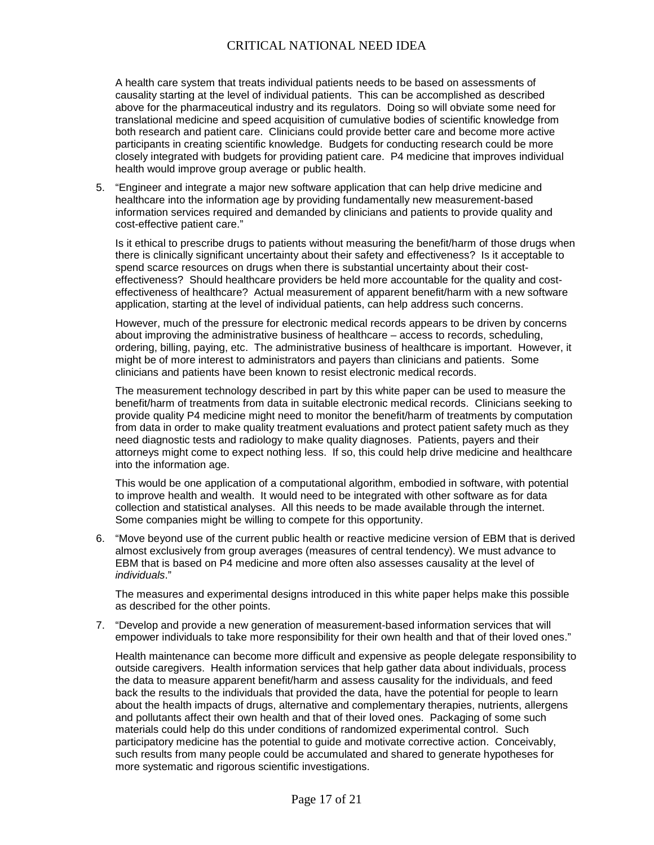A health care system that treats individual patients needs to be based on assessments of causality starting at the level of individual patients. This can be accomplished as described above for the pharmaceutical industry and its regulators. Doing so will obviate some need for translational medicine and speed acquisition of cumulative bodies of scientific knowledge from both research and patient care. Clinicians could provide better care and become more active participants in creating scientific knowledge. Budgets for conducting research could be more closely integrated with budgets for providing patient care. P4 medicine that improves individual health would improve group average or public health.

5. "Engineer and integrate a major new software application that can help drive medicine and healthcare into the information age by providing fundamentally new measurement-based information services required and demanded by clinicians and patients to provide quality and cost-effective patient care."

Is it ethical to prescribe drugs to patients without measuring the benefit/harm of those drugs when there is clinically significant uncertainty about their safety and effectiveness? Is it acceptable to spend scarce resources on drugs when there is substantial uncertainty about their costeffectiveness? Should healthcare providers be held more accountable for the quality and costeffectiveness of healthcare? Actual measurement of apparent benefit/harm with a new software application, starting at the level of individual patients, can help address such concerns.

However, much of the pressure for electronic medical records appears to be driven by concerns about improving the administrative business of healthcare – access to records, scheduling, ordering, billing, paying, etc. The administrative business of healthcare is important. However, it might be of more interest to administrators and payers than clinicians and patients. Some clinicians and patients have been known to resist electronic medical records.

The measurement technology described in part by this white paper can be used to measure the benefit/harm of treatments from data in suitable electronic medical records. Clinicians seeking to provide quality P4 medicine might need to monitor the benefit/harm of treatments by computation from data in order to make quality treatment evaluations and protect patient safety much as they need diagnostic tests and radiology to make quality diagnoses. Patients, payers and their attorneys might come to expect nothing less. If so, this could help drive medicine and healthcare into the information age.

This would be one application of a computational algorithm, embodied in software, with potential to improve health and wealth. It would need to be integrated with other software as for data collection and statistical analyses. All this needs to be made available through the internet. Some companies might be willing to compete for this opportunity.

6. "Move beyond use of the current public health or reactive medicine version of EBM that is derived almost exclusively from group averages (measures of central tendency). We must advance to EBM that is based on P4 medicine and more often also assesses causality at the level of *individuals*."

The measures and experimental designs introduced in this white paper helps make this possible as described for the other points.

7. "Develop and provide a new generation of measurement-based information services that will empower individuals to take more responsibility for their own health and that of their loved ones."

Health maintenance can become more difficult and expensive as people delegate responsibility to outside caregivers. Health information services that help gather data about individuals, process the data to measure apparent benefit/harm and assess causality for the individuals, and feed back the results to the individuals that provided the data, have the potential for people to learn about the health impacts of drugs, alternative and complementary therapies, nutrients, allergens and pollutants affect their own health and that of their loved ones. Packaging of some such materials could help do this under conditions of randomized experimental control. Such participatory medicine has the potential to guide and motivate corrective action. Conceivably, such results from many people could be accumulated and shared to generate hypotheses for more systematic and rigorous scientific investigations.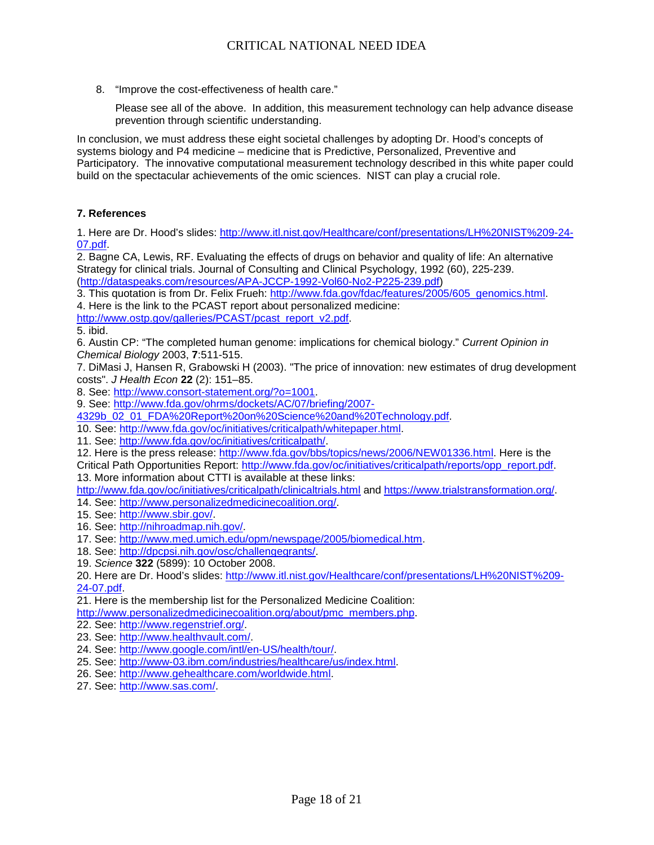8. "Improve the cost-effectiveness of health care."

Please see all of the above. In addition, this measurement technology can help advance disease prevention through scientific understanding.

In conclusion, we must address these eight societal challenges by adopting Dr. Hood's concepts of systems biology and P4 medicine – medicine that is Predictive, Personalized, Preventive and Participatory. The innovative computational measurement technology described in this white paper could build on the spectacular achievements of the omic sciences. NIST can play a crucial role.

#### **7. References**

1. Here are Dr. Hood's slides: [http://www.itl.nist.gov/Healthcare/conf/presentations/LH%20NIST%209-24-](http://www.itl.nist.gov/Healthcare/conf/presentations/LH%20NIST%209-24-07.pdf) [07.pdf.](http://www.itl.nist.gov/Healthcare/conf/presentations/LH%20NIST%209-24-07.pdf)

2. Bagne CA, Lewis, RF. Evaluating the effects of drugs on behavior and quality of life: An alternative Strategy for clinical trials. Journal of Consulting and Clinical Psychology, 1992 (60), 225-239. [\(http://dataspeaks.com/resources/APA-JCCP-1992-Vol60-No2-P225-239.pdf\)](http://dataspeaks.com/resources/APA-JCCP-1992-Vol60-No2-P225-239.pdf)

3. This quotation is from Dr. Felix Frueh: [http://www.fda.gov/fdac/features/2005/605\\_genomics.html.](http://www.fda.gov/fdac/features/2005/605_genomics.html)

4. Here is the link to the PCAST report about personalized medicine:

[http://www.ostp.gov/galleries/PCAST/pcast\\_report\\_v2.pdf.](http://www.ostp.gov/galleries/PCAST/pcast_report_v2.pdf)

5. ibid.

6. Austin CP: "The completed human genome: implications for chemical biology." *Current Opinion in Chemical Biology* 2003, **7**:511-515.

7. DiMasi J, Hansen R, Grabowski H (2003). "The price of innovation: new estimates of drug development costs". *J Health Econ* **22** (2): 151–85.

8. See: [http://www.consort-statement.org/?o=1001.](http://www.consort-statement.org/?o=1001)

9. See: [http://www.fda.gov/ohrms/dockets/AC/07/briefing/2007-](http://www.fda.gov/ohrms/dockets/AC/07/briefing/2007-4329b_02_01_FDA%20Report%20on%20Science%20and%20Technology.pdf)

[4329b\\_02\\_01\\_FDA%20Report%20on%20Science%20and%20Technology.pdf.](http://www.fda.gov/ohrms/dockets/AC/07/briefing/2007-4329b_02_01_FDA%20Report%20on%20Science%20and%20Technology.pdf)

10. See: [http://www.fda.gov/oc/initiatives/criticalpath/whitepaper.html.](http://www.fda.gov/oc/initiatives/criticalpath/whitepaper.html)

11. See: [http://www.fda.gov/oc/initiatives/criticalpath/.](http://www.fda.gov/oc/initiatives/criticalpath/)

12. Here is the press release: [http://www.fda.gov/bbs/topics/news/2006/NEW01336.html.](http://www.fda.gov/bbs/topics/news/2006/NEW01336.html) Here is the

Critical Path Opportunities Report: [http://www.fda.gov/oc/initiatives/criticalpath/reports/opp\\_report.pdf.](http://www.fda.gov/oc/initiatives/criticalpath/reports/opp_report.pdf) 13. More information about CTTI is available at these links:

<http://www.fda.gov/oc/initiatives/criticalpath/clinicaltrials.html> and [https://www.trialstransformation.org/.](https://www.trialstransformation.org/)

14. See: [http://www.personalizedmedicinecoalition.org/.](http://www.personalizedmedicinecoalition.org/)

15. See: [http://www.sbir.gov/.](http://www.sbir.gov/) 

16. See: [http://nihroadmap.nih.gov/.](http://nihroadmap.nih.gov/)

17. See: [http://www.med.umich.edu/opm/newspage/2005/biomedical.htm.](http://www.med.umich.edu/opm/newspage/2005/biomedical.htm)

18. See: [http://dpcpsi.nih.gov/osc/challengegrants/.](http://dpcpsi.nih.gov/osc/challengegrants/)

19. *Science* **322** (5899): 10 October 2008.

20. Here are Dr. Hood's slides: [http://www.itl.nist.gov/Healthcare/conf/presentations/LH%20NIST%209-](http://www.itl.nist.gov/Healthcare/conf/presentations/LH%20NIST%209-24-07.pdf) [24-07.pdf.](http://www.itl.nist.gov/Healthcare/conf/presentations/LH%20NIST%209-24-07.pdf)

21. Here is the membership list for the Personalized Medicine Coalition:

[http://www.personalizedmedicinecoalition.org/about/pmc\\_members.php.](http://www.personalizedmedicinecoalition.org/about/pmc_members.php)

22. See: [http://www.regenstrief.org/.](http://www.regenstrief.org/)

23. See: [http://www.healthvault.com/.](http://www.healthvault.com/)

24. See: [http://www.google.com/intl/en-US/health/tour/.](http://www.google.com/intl/en-US/health/tour/)

25. See: [http://www-03.ibm.com/industries/healthcare/us/index.html.](http://www-03.ibm.com/industries/healthcare/us/index.html)

26. See: [http://www.gehealthcare.com/worldwide.html.](http://www.gehealthcare.com/worldwide.html)

27. See: [http://www.sas.com/.](http://www.sas.com/)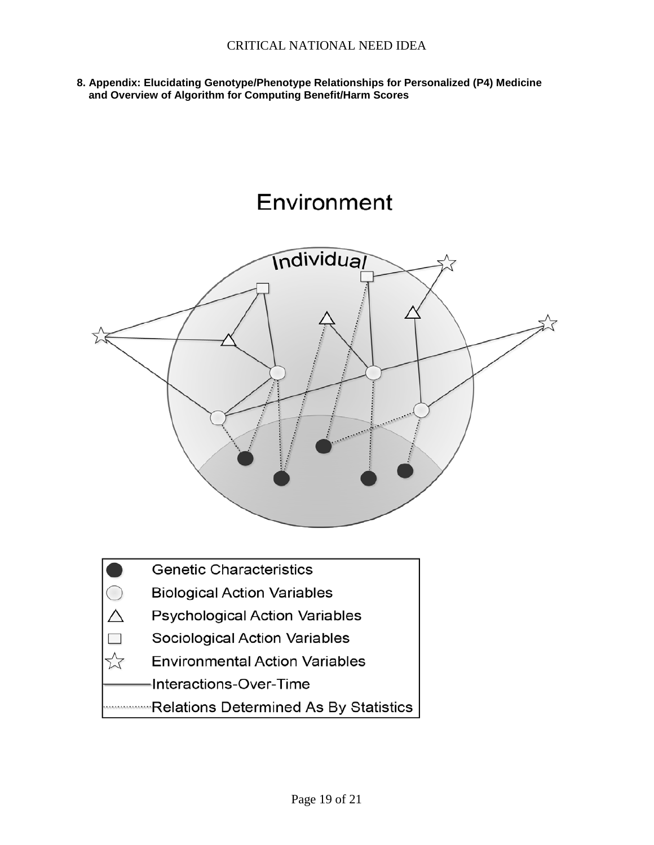**8. Appendix: Elucidating Genotype/Phenotype Relationships for Personalized (P4) Medicine and Overview of Algorithm for Computing Benefit/Harm Scores**

# Environment



Relations Determined As By Statistics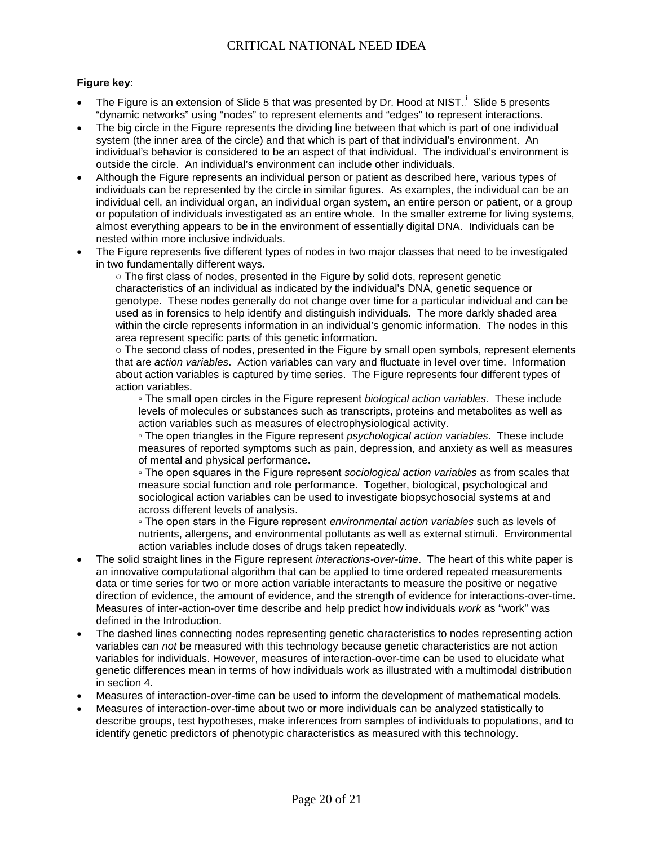#### **Figure key**:

- The Figure is an extension of Slide 5 that was presented by Dr. Hood at NIST.<sup>1</sup> Slide 5 presents "dynamic networks" using "nodes" to represent elements and "edges" to represent interactions.
- The big circle in the Figure represents the dividing line between that which is part of one individual system (the inner area of the circle) and that which is part of that individual's environment. An individual's behavior is considered to be an aspect of that individual. The individual's environment is outside the circle. An individual's environment can include other individuals.
- Although the Figure represents an individual person or patient as described here, various types of individuals can be represented by the circle in similar figures. As examples, the individual can be an individual cell, an individual organ, an individual organ system, an entire person or patient, or a group or population of individuals investigated as an entire whole. In the smaller extreme for living systems, almost everything appears to be in the environment of essentially digital DNA. Individuals can be nested within more inclusive individuals.
- The Figure represents five different types of nodes in two major classes that need to be investigated in two fundamentally different ways.

○ The first class of nodes, presented in the Figure by solid dots, represent genetic characteristics of an individual as indicated by the individual's DNA, genetic sequence or genotype. These nodes generally do not change over time for a particular individual and can be used as in forensics to help identify and distinguish individuals. The more darkly shaded area within the circle represents information in an individual's genomic information. The nodes in this area represent specific parts of this genetic information.

○ The second class of nodes, presented in the Figure by small open symbols, represent elements that are *action variables*. Action variables can vary and fluctuate in level over time. Information about action variables is captured by time series. The Figure represents four different types of action variables.

▫ The small open circles in the Figure represent *biological action variables*. These include levels of molecules or substances such as transcripts, proteins and metabolites as well as action variables such as measures of electrophysiological activity.

▫ The open triangles in the Figure represent *psychological action variables*. These include measures of reported symptoms such as pain, depression, and anxiety as well as measures of mental and physical performance.

▫ The open squares in the Figure represent *sociological action variables* as from scales that measure social function and role performance. Together, biological, psychological and sociological action variables can be used to investigate biopsychosocial systems at and across different levels of analysis.

▫ The open stars in the Figure represent *environmental action variables* such as levels of nutrients, allergens, and environmental pollutants as well as external stimuli. Environmental action variables include doses of drugs taken repeatedly.

- The solid straight lines in the Figure represent *interactions-over-time*. The heart of this white paper is an innovative computational algorithm that can be applied to time ordered repeated measurements data or time series for two or more action variable interactants to measure the positive or negative direction of evidence, the amount of evidence, and the strength of evidence for interactions-over-time. Measures of inter-action-over time describe and help predict how individuals *work* as "work" was defined in the Introduction.
- The dashed lines connecting nodes representing genetic characteristics to nodes representing action variables can *not* be measured with this technology because genetic characteristics are not action variables for individuals. However, measures of interaction-over-time can be used to elucidate what genetic differences mean in terms of how individuals work as illustrated with a multimodal distribution in section 4.
- Measures of interaction-over-time can be used to inform the development of mathematical models.
- Measures of interaction-over-time about two or more individuals can be analyzed statistically to describe groups, test hypotheses, make inferences from samples of individuals to populations, and to identify genetic predictors of phenotypic characteristics as measured with this technology.